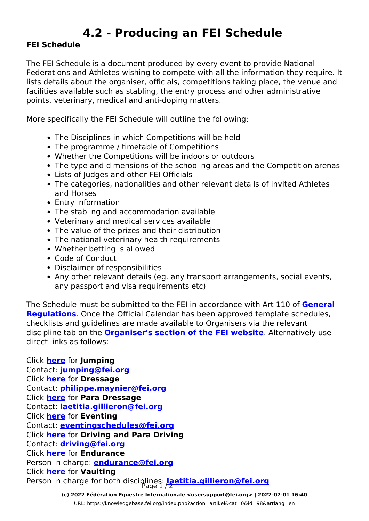## **4.2 - Producing an FEI Schedule**

## **FEI Schedule**

The FEI Schedule is a document produced by every event to provide National Federations and Athletes wishing to compete with all the information they require. It lists details about the organiser, officials, competitions taking place, the venue and facilities available such as stabling, the entry process and other administrative points, veterinary, medical and anti-doping matters.

More specifically the FEI Schedule will outline the following:

- The Disciplines in which Competitions will be held
- The programme / timetable of Competitions
- Whether the Competitions will be indoors or outdoors
- The type and dimensions of the schooling areas and the Competition arenas
- Lists of Iudges and other FEI Officials
- The categories, nationalities and other relevant details of invited Athletes and Horses
- Entry information
- The stabling and accommodation available
- Veterinary and medical services available
- The value of the prizes and their distribution
- The national veterinary health requirements
- Whether betting is allowed
- Code of Conduct
- Disclaimer of responsibilities
- Any other relevant details (eg. any transport arrangements, social events, any passport and visa requirements etc)

The Schedule must be submitted to the FEI in accordance with Art 110 of **[General](https://inside.fei.org/fei/regulations/general-rules) [Regulations](https://inside.fei.org/fei/regulations/general-rules)**. Once the Official Calendar has been approved template schedules, checklists and guidelines are made available to Organisers via the relevant discipline tab on the **[Organiser's section of the FEI website](https://inside.fei.org/fei/your-role/organisers)**. Alternatively use direct links as follows:

Click **[here](https://fei.us2.list-manage.com/track/click?u=f3c033c6fc400852db8365079&id=3ae90e6b98&e=f0e4b7a2e6)** for **Jumping** Contact: **[jumping@fei.org](mailto:jumping@fei.org)** Click **[here](https://fei.us2.list-manage.com/track/click?u=f3c033c6fc400852db8365079&id=e580f692a0&e=f0e4b7a2e6)** for **Dressage** Contact: **[philippe.maynier@fei.org](mailto:philippe.maynier@fei.org?subject=2017%20Draft%20Schedules)** Click **[here](https://fei.us2.list-manage.com/track/click?u=f3c033c6fc400852db8365079&id=7d6ed3932d&e=f0e4b7a2e6)** for **Para Dressage** Contact: **[laetitia.gillieron@fei.org](mailto:Laetitia.Gillieron@fei.org?subject=2017%20Draft%20Schedules)** Click **[here](https://fei.us2.list-manage.com/track/click?u=f3c033c6fc400852db8365079&id=e95b1fe1ed&e=f0e4b7a2e6)** for **Eventing** Contact: **[eventingschedules@fei.org](mailto:eventingschedules@fei.org)** Click **[here](https://fei.us2.list-manage.com/track/click?u=f3c033c6fc400852db8365079&id=4663618a7a&e=f0e4b7a2e6)** for **Driving and Para Driving** Contact: **[driving@fei.org](mailto:driving@fei.org)** Click **[here](https://fei.us2.list-manage.com/track/click?u=f3c033c6fc400852db8365079&id=2c46b55c31&e=f0e4b7a2e6)** for **Endurance** Person in charge: **[endurance@fei.org](mailto:endurance@fei.org)** Click **[here](https://fei.us2.list-manage.com/track/click?u=f3c033c6fc400852db8365079&id=7c41efbc53&e=f0e4b7a2e6)** for **Vaulting** Person in charge for both disciplines: **[laetitia.gillieron@fei.org](mailto:Laetitia.Gillieron@fei.org?subject=2017%20Draft%20Schedules)** 

> **(c) 2022 Fédération Equestre Internationale <usersupport@fei.org> | 2022-07-01 16:40** [URL: https://knowledgebase.fei.org/index.php?action=artikel&cat=0&id=98&artlang=en](https://knowledgebase.fei.org/index.php?action=artikel&cat=0&id=98&artlang=en)